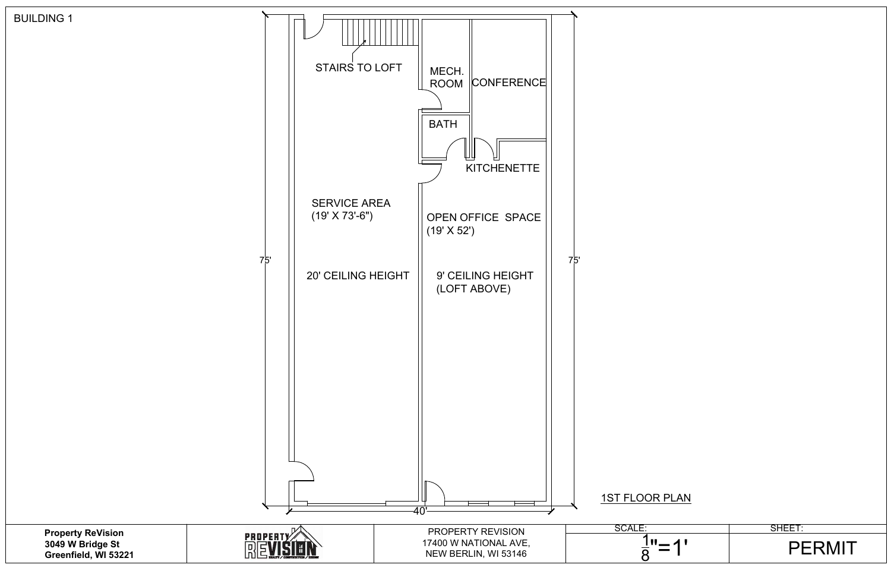

| 1 | ◢<br>L | U |  |
|---|--------|---|--|
|   |        |   |  |
|   |        |   |  |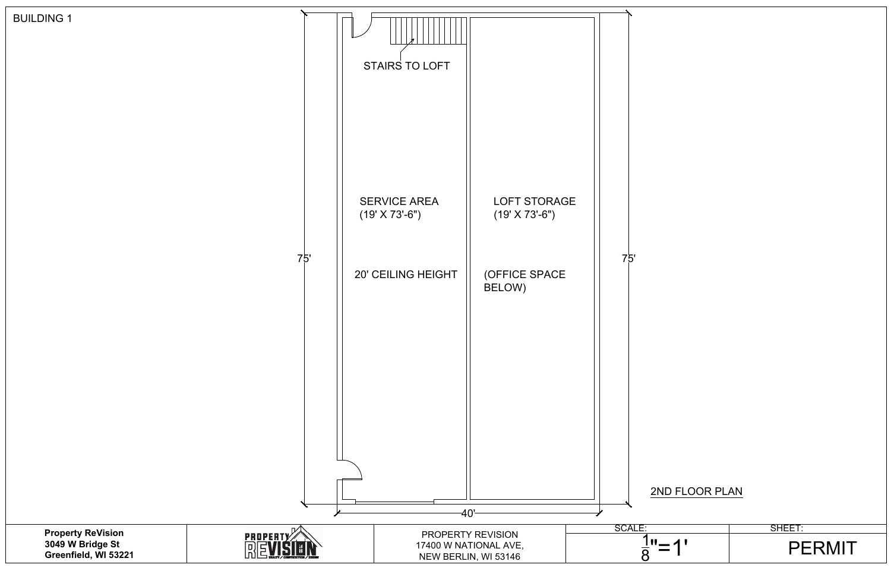

| V | $\blacktriangleleft$ | U |
|---|----------------------|---|
|   |                      |   |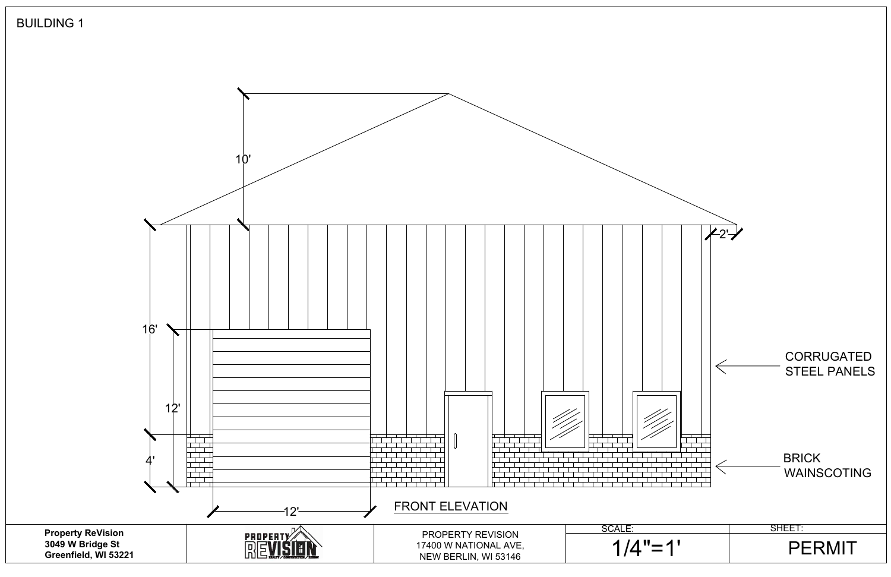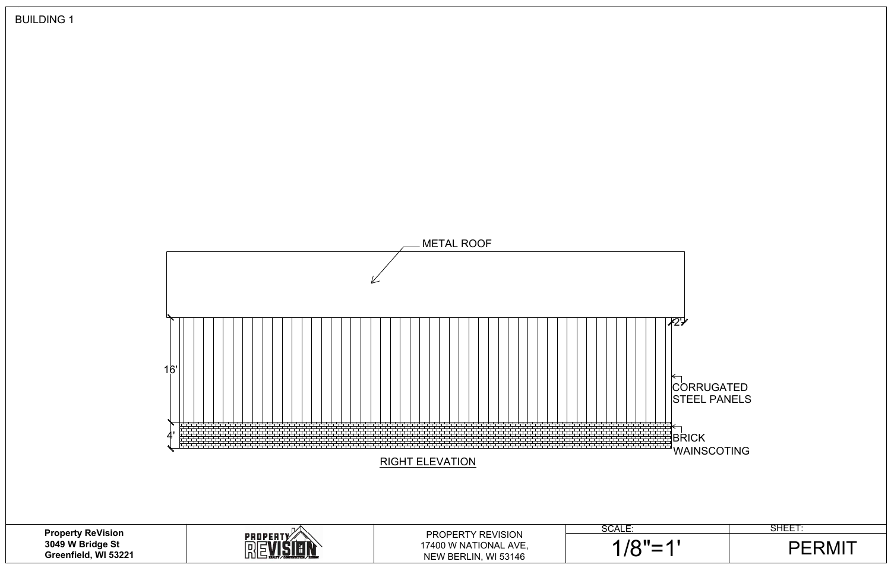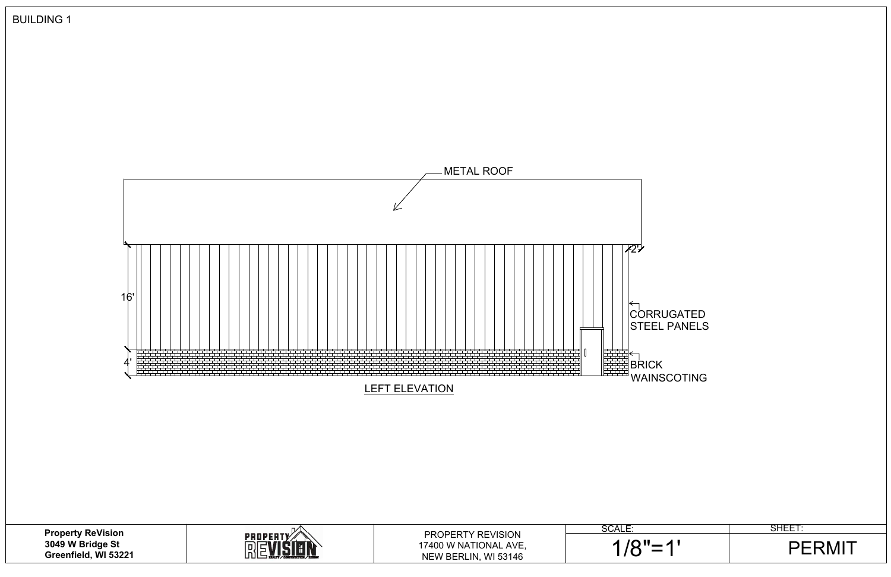